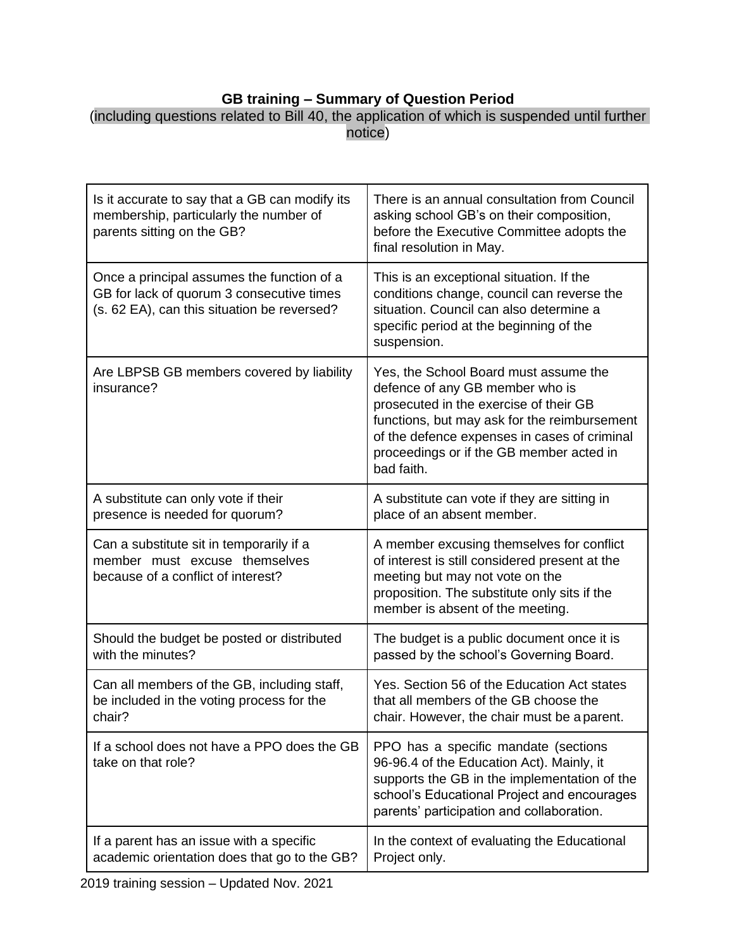## **GB training – Summary of Question Period**

| (including questions related to Bill 40, the application of which is suspended until further |  |
|----------------------------------------------------------------------------------------------|--|
| notice)                                                                                      |  |

| Is it accurate to say that a GB can modify its<br>membership, particularly the number of<br>parents sitting on the GB?                 | There is an annual consultation from Council<br>asking school GB's on their composition,<br>before the Executive Committee adopts the<br>final resolution in May.                                                                                                            |
|----------------------------------------------------------------------------------------------------------------------------------------|------------------------------------------------------------------------------------------------------------------------------------------------------------------------------------------------------------------------------------------------------------------------------|
| Once a principal assumes the function of a<br>GB for lack of quorum 3 consecutive times<br>(s. 62 EA), can this situation be reversed? | This is an exceptional situation. If the<br>conditions change, council can reverse the<br>situation. Council can also determine a<br>specific period at the beginning of the<br>suspension.                                                                                  |
| Are LBPSB GB members covered by liability<br>insurance?                                                                                | Yes, the School Board must assume the<br>defence of any GB member who is<br>prosecuted in the exercise of their GB<br>functions, but may ask for the reimbursement<br>of the defence expenses in cases of criminal<br>proceedings or if the GB member acted in<br>bad faith. |
| A substitute can only vote if their<br>presence is needed for quorum?                                                                  | A substitute can vote if they are sitting in<br>place of an absent member.                                                                                                                                                                                                   |
| Can a substitute sit in temporarily if a<br>member must excuse themselves<br>because of a conflict of interest?                        | A member excusing themselves for conflict<br>of interest is still considered present at the<br>meeting but may not vote on the<br>proposition. The substitute only sits if the<br>member is absent of the meeting.                                                           |
| Should the budget be posted or distributed<br>with the minutes?                                                                        | The budget is a public document once it is<br>passed by the school's Governing Board.                                                                                                                                                                                        |
| Can all members of the GB, including staff,<br>be included in the voting process for the<br>chair?                                     | Yes. Section 56 of the Education Act states<br>that all members of the GB choose the<br>chair. However, the chair must be a parent.                                                                                                                                          |
| If a school does not have a PPO does the GB<br>take on that role?                                                                      | PPO has a specific mandate (sections<br>96-96.4 of the Education Act). Mainly, it<br>supports the GB in the implementation of the<br>school's Educational Project and encourages<br>parents' participation and collaboration.                                                |
| If a parent has an issue with a specific<br>academic orientation does that go to the GB?                                               | In the context of evaluating the Educational<br>Project only.                                                                                                                                                                                                                |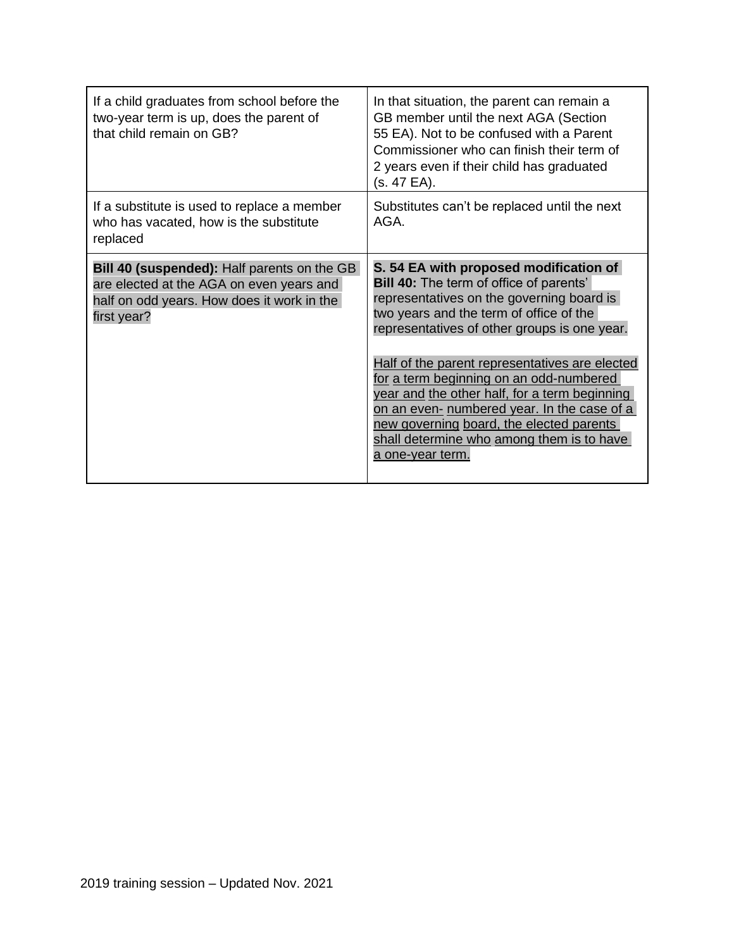| If a child graduates from school before the<br>two-year term is up, does the parent of<br>that child remain on GB?                                   | In that situation, the parent can remain a<br>GB member until the next AGA (Section<br>55 EA). Not to be confused with a Parent<br>Commissioner who can finish their term of<br>2 years even if their child has graduated<br>(s. 47 EA).                                                                                                                                                                                                                                                                                                   |
|------------------------------------------------------------------------------------------------------------------------------------------------------|--------------------------------------------------------------------------------------------------------------------------------------------------------------------------------------------------------------------------------------------------------------------------------------------------------------------------------------------------------------------------------------------------------------------------------------------------------------------------------------------------------------------------------------------|
| If a substitute is used to replace a member<br>who has vacated, how is the substitute<br>replaced                                                    | Substitutes can't be replaced until the next<br>AGA.                                                                                                                                                                                                                                                                                                                                                                                                                                                                                       |
| Bill 40 (suspended): Half parents on the GB<br>are elected at the AGA on even years and<br>half on odd years. How does it work in the<br>first year? | S. 54 EA with proposed modification of<br><b>Bill 40:</b> The term of office of parents'<br>representatives on the governing board is<br>two years and the term of office of the<br>representatives of other groups is one year.<br>Half of the parent representatives are elected<br>for a term beginning on an odd-numbered<br>year and the other half, for a term beginning<br>on an even- numbered year. In the case of a<br>new governing board, the elected parents<br>shall determine who among them is to have<br>a one-year term. |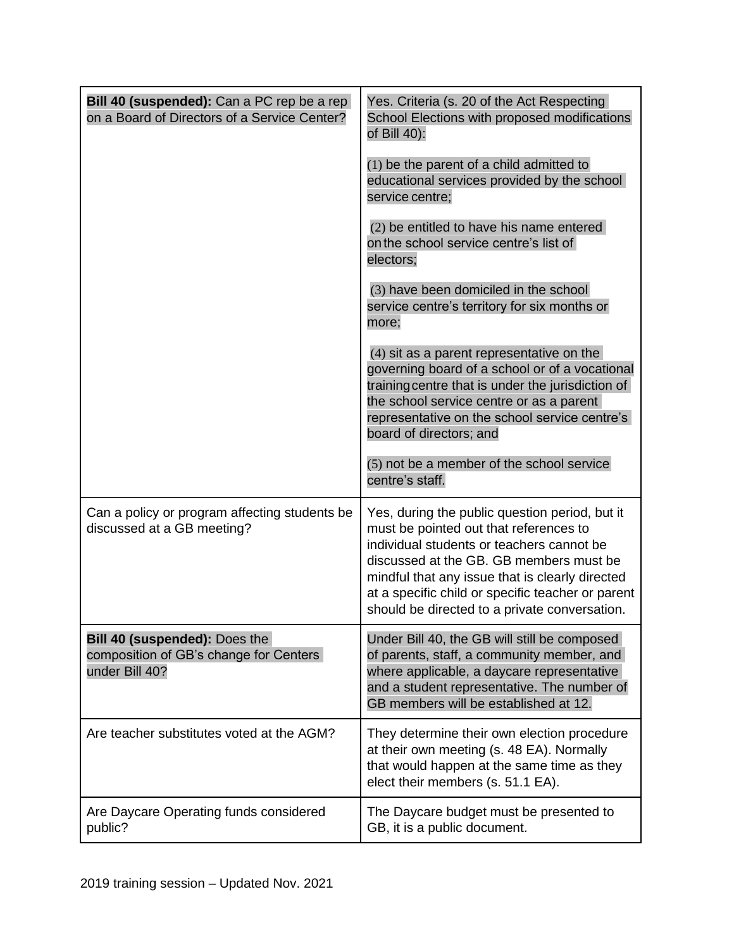| Bill 40 (suspended): Can a PC rep be a rep<br>on a Board of Directors of a Service Center? | Yes. Criteria (s. 20 of the Act Respecting<br>School Elections with proposed modifications<br>of Bill 40):                                                                                                                                                                                                                                |
|--------------------------------------------------------------------------------------------|-------------------------------------------------------------------------------------------------------------------------------------------------------------------------------------------------------------------------------------------------------------------------------------------------------------------------------------------|
|                                                                                            | (1) be the parent of a child admitted to<br>educational services provided by the school<br>service centre;                                                                                                                                                                                                                                |
|                                                                                            | (2) be entitled to have his name entered<br>on the school service centre's list of<br>electors;                                                                                                                                                                                                                                           |
|                                                                                            | (3) have been domiciled in the school<br>service centre's territory for six months or<br>more;                                                                                                                                                                                                                                            |
|                                                                                            | (4) sit as a parent representative on the<br>governing board of a school or of a vocational<br>training centre that is under the jurisdiction of<br>the school service centre or as a parent<br>representative on the school service centre's<br>board of directors; and                                                                  |
|                                                                                            | (5) not be a member of the school service<br>centre's staff.                                                                                                                                                                                                                                                                              |
| Can a policy or program affecting students be<br>discussed at a GB meeting?                | Yes, during the public question period, but it<br>must be pointed out that references to<br>individual students or teachers cannot be<br>discussed at the GB. GB members must be<br>mindful that any issue that is clearly directed<br>at a specific child or specific teacher or parent<br>should be directed to a private conversation. |
| Bill 40 (suspended): Does the<br>composition of GB's change for Centers<br>under Bill 40?  | Under Bill 40, the GB will still be composed<br>of parents, staff, a community member, and<br>where applicable, a daycare representative<br>and a student representative. The number of<br>GB members will be established at 12.                                                                                                          |
| Are teacher substitutes voted at the AGM?                                                  | They determine their own election procedure<br>at their own meeting (s. 48 EA). Normally<br>that would happen at the same time as they<br>elect their members (s. 51.1 EA).                                                                                                                                                               |
| Are Daycare Operating funds considered<br>public?                                          | The Daycare budget must be presented to<br>GB, it is a public document.                                                                                                                                                                                                                                                                   |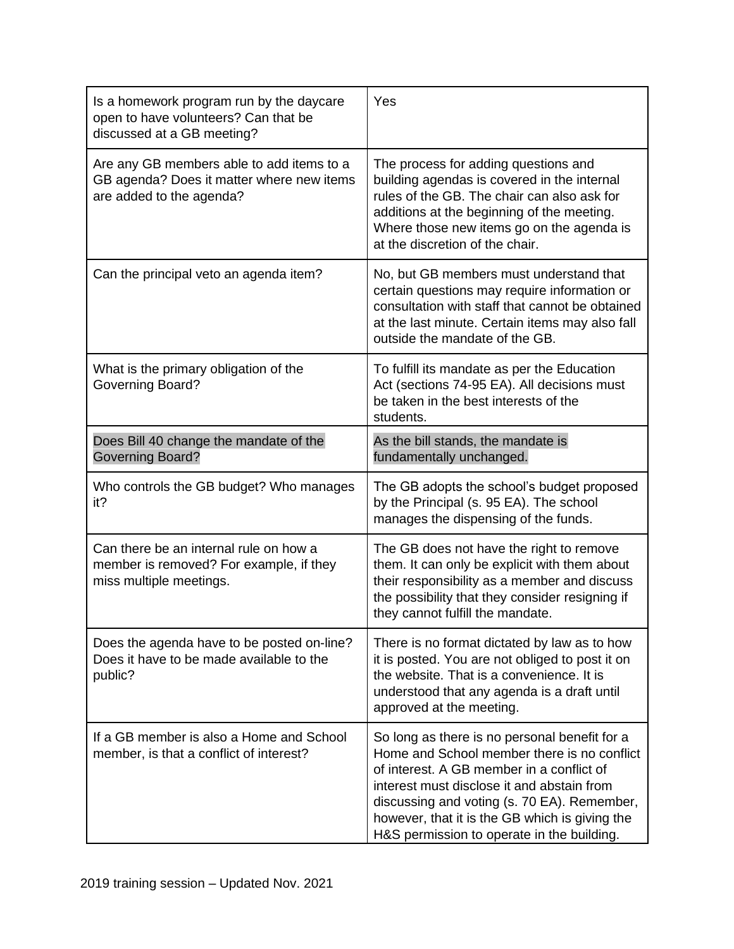| Is a homework program run by the daycare<br>open to have volunteers? Can that be<br>discussed at a GB meeting?     | Yes                                                                                                                                                                                                                                                                                                                                    |
|--------------------------------------------------------------------------------------------------------------------|----------------------------------------------------------------------------------------------------------------------------------------------------------------------------------------------------------------------------------------------------------------------------------------------------------------------------------------|
| Are any GB members able to add items to a<br>GB agenda? Does it matter where new items<br>are added to the agenda? | The process for adding questions and<br>building agendas is covered in the internal<br>rules of the GB. The chair can also ask for<br>additions at the beginning of the meeting.<br>Where those new items go on the agenda is<br>at the discretion of the chair.                                                                       |
| Can the principal veto an agenda item?                                                                             | No, but GB members must understand that<br>certain questions may require information or<br>consultation with staff that cannot be obtained<br>at the last minute. Certain items may also fall<br>outside the mandate of the GB.                                                                                                        |
| What is the primary obligation of the<br>Governing Board?                                                          | To fulfill its mandate as per the Education<br>Act (sections 74-95 EA). All decisions must<br>be taken in the best interests of the<br>students.                                                                                                                                                                                       |
| Does Bill 40 change the mandate of the<br><b>Governing Board?</b>                                                  | As the bill stands, the mandate is<br>fundamentally unchanged.                                                                                                                                                                                                                                                                         |
| Who controls the GB budget? Who manages<br>it?                                                                     | The GB adopts the school's budget proposed<br>by the Principal (s. 95 EA). The school<br>manages the dispensing of the funds.                                                                                                                                                                                                          |
| Can there be an internal rule on how a<br>member is removed? For example, if they<br>miss multiple meetings.       | The GB does not have the right to remove<br>them. It can only be explicit with them about<br>their responsibility as a member and discuss<br>the possibility that they consider resigning if<br>they cannot fulfill the mandate.                                                                                                       |
| Does the agenda have to be posted on-line?<br>Does it have to be made available to the<br>public?                  | There is no format dictated by law as to how<br>it is posted. You are not obliged to post it on<br>the website. That is a convenience. It is<br>understood that any agenda is a draft until<br>approved at the meeting.                                                                                                                |
| If a GB member is also a Home and School<br>member, is that a conflict of interest?                                | So long as there is no personal benefit for a<br>Home and School member there is no conflict<br>of interest. A GB member in a conflict of<br>interest must disclose it and abstain from<br>discussing and voting (s. 70 EA). Remember,<br>however, that it is the GB which is giving the<br>H&S permission to operate in the building. |